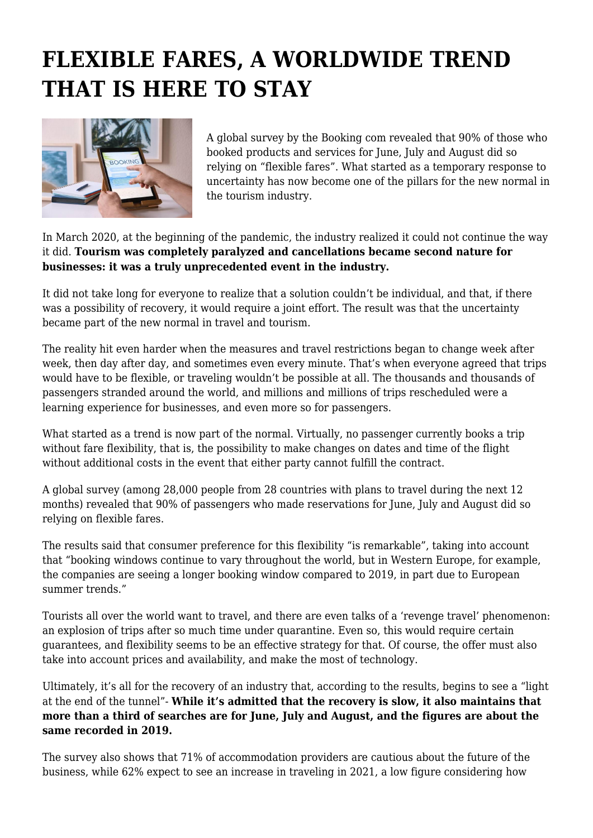## **FLEXIBLE FARES, A WORLDWIDE TREND THAT IS HERE TO STAY**



A global survey by the Booking com revealed that 90% of those who booked products and services for June, July and August did so relying on "flexible fares". What started as a temporary response to uncertainty has now become one of the pillars for the new normal in the tourism industry.

In March 2020, at the beginning of the pandemic, the industry realized it could not continue the way it did. **Tourism was completely paralyzed and cancellations became second nature for businesses: it was a truly unprecedented event in the industry.**

It did not take long for everyone to realize that a solution couldn't be individual, and that, if there was a possibility of recovery, it would require a joint effort. The result was that the uncertainty became part of the new normal in travel and tourism.

The reality hit even harder when the measures and travel restrictions began to change week after week, then day after day, and sometimes even every minute. That's when everyone agreed that trips would have to be flexible, or traveling wouldn't be possible at all. The thousands and thousands of passengers stranded around the world, and millions and millions of trips rescheduled were a learning experience for businesses, and even more so for passengers.

What started as a trend is now part of the normal. Virtually, no passenger currently books a trip without fare flexibility, that is, the possibility to make changes on dates and time of the flight without additional costs in the event that either party cannot fulfill the contract.

A global survey (among 28,000 people from 28 countries with plans to travel during the next 12 months) revealed that 90% of passengers who made reservations for June, July and August did so relying on flexible fares.

The results said that consumer preference for this flexibility "is remarkable", taking into account that "booking windows continue to vary throughout the world, but in Western Europe, for example, the companies are seeing a longer booking window compared to 2019, in part due to European summer trends."

Tourists all over the world want to travel, and there are even talks of a 'revenge travel' phenomenon: an explosion of trips after so much time under quarantine. Even so, this would require certain guarantees, and flexibility seems to be an effective strategy for that. Of course, the offer must also take into account prices and availability, and make the most of technology.

Ultimately, it's all for the recovery of an industry that, according to the results, begins to see a "light at the end of the tunnel"- **While it's admitted that the recovery is slow, it also maintains that more than a third of searches are for June, July and August, and the figures are about the same recorded in 2019.**

The survey also shows that 71% of accommodation providers are cautious about the future of the business, while 62% expect to see an increase in traveling in 2021, a low figure considering how